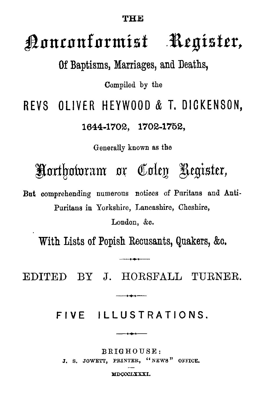**THE**

## Nonconformist R egister,

Of Baptisms, Marriages, and Deaths,

Compiled by the

REVS OLIVER HEYWOOD & T. DICKENSON,

1644-1702, 1702-1752 ,

Generally known as the

Horthowram or Coley Register,

**But** comprehending numerous notices of Puritans and Anti-Puritans in Yorkshire, Lancashire, Cheshire,

London, &c.

With Lists of Popish Recusants, Quakers, &c.

----

EDITED BY J. HORSFALL TURNER.

سمحمد

**FIVE ILLUSTRATIONS .**

منعت

BRIGHOUSE : **J. S. JOWETT, PRINTER, " NEWS " OFFICE.**

**MDCCCI.XXXI.**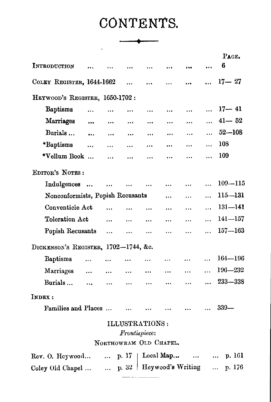## CONTENTS.

**PAGE. INTRODUCTION . . . . . . . . . . . . . . . . .., . . . 6** COLEY REGISTER, 1644-1662 ... ... ... ... ... 17-27 HEYWOOD'S REGISTER, 1650-1702 : **Baptisms 17— 41 Marriages . . . . . . . . . . . . . . . . . . . . . 41— 52** Burials ... ... ... ... ... ... ... ... 52-108 \*Baptisms ... ... ... ... ... ... 108 \*Vellum Book ... ... ... ... ... ... ... 109 EDITOR'S NOTES : **Indulgences . . . 109—11 <sup>5</sup>** Nonconformists, Popish Recusants ... ...  $...$  115--131 Conventicle Act  $\ldots$   $\ldots$   $\ldots$   $\ldots$   $\ldots$   $\ldots$   $131-141$ Toleration Act ... ... ... ... ... ... 141-157 Popish Recusants ... ... ... ... ... ... 157-163 DICKENSON'S REGISTER, 1702—1744, &c. Baptisms ... ... ... ... ... ... ... 164-196 Marriages ... ... ... ... ... ... ... 196–232 Burials ... ... ... ... ... ... ... ... 233—338 INDEX : Families and Places ... ... ... ... ... ... 339– **ILLUSTRATIONS :** *Frontispiece : NORTHOWRAM OLD CHAPEL.* **Rev. O. Heywood. . . . . . p. <sup>17</sup> Local Map. . . . . . . ., p. 16 <sup>1</sup>**

Coley Old Chapel ... ... p.  $32 \mid$  Heywood's Writing ... p. 176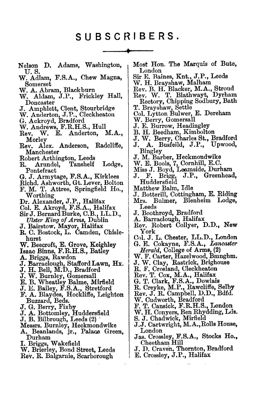## **SUBSCRIBERS .**

- Nelson D. Adams, Washington, U. S.
- W. Adlam, F.S.A., Chew Magna, Somerset
- W. A. Abram, Blackburn
- W. Aldam, J.P., Frickley Hall, Doncaster
- J. Amphlett, Clent, Stourbridge
- W. Anderton, J.P., Cleckheaton
- G. Ackroyd, Bradford
- W. Andrews, F.R.H.S., Hull<br>Rev. W. E. Anderton, M.A.,
- Rev. W. E. Anderton. Morley
- Rev. Alex. Anderson, Radcliffe, Manchester
- Robert Arthington, Leeds<br>R. Arundel. Tanshelf
- Tanshelf Lodge, Pontefract
- G. J. Armytage, F.S.A., Kirklees
- Richd. Ashworth, Gt. Lever, Bolton
- F. M. T. Attree, Springfield Ho., Worthing
- Dr. Alexander, J.P., Halifax
- Col. E. Akroyd, F.S.A., Halifax
- Col. E. Akroyd, F.S.A., Halifax<br>Sir J. Bernard Burke, C.B., L.L.D., *Ulster King of Arms,* Dublin
- J. Bairstow, Mayor, Halifax
- R. C. Bostock, L. Camden, Chislehurst
- W. Beecroft, E. Grove, Keighley
- Isaac Binns, F.R.H.S., Batley
- A. Briggs, Rawdon
- J. Barraclough, Stafford Lawn, Hx.
- J. H. Bell, M.D., Bradford
- J. W. Burnley, Gomersall
- E. B. Wheatley Balme, Mirfield
- J. Bailey, F.S.A., Stretford
- F. A. Blaydes, Hockliffe, Leighton Buzzard, Beds.
- J. G. Berry, Fixby
- J. A. Bottomley, Huddersfield
- 
- J. B. Bilbrough, Leeds (2) ' Messrs. Burnley, Heckmondwike
- A. Beanlands, jr., Palace Green, Durham
- I. Briggs, Wakefield
- W. Brierley, Bond Street, Leeds
- Rev. R. Balgarnie, Scarborough
- Most Hon. The Marquis of Bute, London
- Sir E. Baines, Knt., J.P., Leeds
- W. H. Brayshaw, Malham
- Rev. B. H. Blacker, M.A., Stroud
- Rev. W. T. Blathwayt, Dyrham Rectory, Chipping Sodbury, Bath T. Brayshaw, Settle
- Col. Lytton Bulwer, E. Dereham
- W. Berry, Gomersall
- J. E. Burrow, Headingley
- B. H. Beedham, Kimbolton
- J. W. Berry, Charles St., Bradford
- A. Busfeild, J.P., Upwood, Bingley
- J. M. Barber, Heckmondwik <sup>e</sup>
- W. E. Bools, 7, Cornhill, E.C.
- Miss J. Boyd, Leamside, Durham
- J. F. Brigg, J.P., Greenhead, Huddersfield
- Matthew Balm, Idle
- J. Botterill, Cottingham, E. Riding
- Mrs. Bulmer, Blenheim Leeds
- J. Boothroyd, Bradford
- A. Barraclough, Halifax
- Rev. Robert Collyer, D.D., New York
- Col. J. L. Chester, LL.D., London
- G. E. Cokayne, F.S.A., *Lancaste r Herald,* College of Arms, (2)
- W. F. Carter, Hazelwood, Bmnghm. J. W. Clay, Rastrick, Brighous <sup>e</sup>
- 
- R. F. Crosland, Cleckheaton
- Rev. T. Cox, M.A., Halifax
- G. T. Clark, F.S.A., Dowlais
- R. Creyke, M.P., Rawcliffe, Selby
- Rev. J. R. Campbell, D.D., Bdfd. W. Cudworth, Bradford
- 
- F. T. Cansick, F.R.H.S., London
- W. H. Conyers, Ben Rhydding, Lds.
- S. J. Chadwick, Mirfield
- J.J. Cartwright, M.A.,Rolls House, London
- Jas. Crossley, F.S.A., Stocks Ho. , Cheetham Hill
- J. D. Craven, Thornton, Bradford
- E. Crossley, J.P., Halifax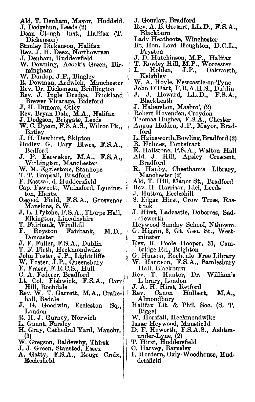- Ald. T. Denham, Mayor, Huddsfd.
- J. Dodgshun, Leeds (2)
- Dean Clough Inst., Halifax (T.<br>Dickenson)
- Stanley Dickenson, Halifax
- <sup>1</sup> **Rev.** J. H. Deex, Northowram
- J. Denham, Huddersfield
- W. Downing, Acock's Green, Birmingham
- W. Dunlop, J.P., Bingley
- R. Dowman, Ardwick, Manchester
- Rev. Dr. Dickenson, Bridlington
- Rev. J. Ingle Dredge, Buckland 1<br>Brewer Vicarage, Bideford
- **J. H.** Duncan, Otley
- Rev. Bryan Dale, M.A., Halifax
- J. Dodgson, Briggate, Leeds
- W. C. Dyson, F.S.A.S., Wilton Pk. , Batley
- J. H. Dewhirst, Skipton
- Dudley G. Cary Elwes, F.S.A., Bedford
- J. P. Earwaker, M.A., F.S.A., Withington, Manchester
- W. M. Egglestone, Stanhope
- T. T. Empsall, Bradford
- F. Eastwood, Huddersfield
- Cap. Fawcett, Wainsford, Lyming-
- Osgood Field, F.S.A., Grosvenor Mansions, S. W.
- J. L. Ffytche, F.S.A., Thorpe Hall, Elkington, Lincolnshire
- 
- T. Fairbank, Windhill<br>F. Royston Fairbank, Royston Fairbank, M.D., Doncaster
- J. F. Fuller, F.S.A., Dublin
- T. F. Firth, Heckmondwike
- John Foster, J.P., Lightcliffe
- W. Foster, J.P., Queensbury
- E. Fraser, F.R.C.S., Hull
- C. A. Federer, Bradford
- Lt. Col. Fishwick, F.S.A., Carr Hill, Rochdale<br>Rev. W. T. Garrett, M.A., Crake-
- hall, Bedale
- J. G. Goodwin, Eccleston Sq., **London**
- R. H. J. Gurney, Norwich
- L. Gaunt, Farsley
- H. Gray, Cathedral Yard, Manchr. (3)
- W. Gregson, Baldersby, Thirsk<br>J. J. Green, Stansted, Essex
- 
- A. Gatty, F.S.A., Rouge Croix, Ecclesfield
- J. Gourlay, Bradford
- Rev. A. B. Grosart, LL.D., F.S.A. , Blackburn
- Lady Heathcote, Winchester
- Rt. Hon. Lord Houghton, D.C.L. , Fryston
- J. D. Hutchinson, M.P., Halifax
- 
- T. Rowley Hill, M.P., Worcester I. Holden, J.P., Oakworth, Keighley
- W. A. Hoyle, Newcastle-on-Tyne
- John O'Hart, F.R.A.H.S., Dublin
- J. J. Howard, LL.D., F.S.A. , Blackheath
- J. Habershon, Masbro', (2)
- Robert Hovenden, Croydon
- Thomas Hughes, F.S.A., Chester
- Angus Holden, J.P., Mayor, Bradford
- L. Hainsworth, Bowling, Bradford (2)
- R. Holmes, Pontefract
- 
- E. Hailstone, F.S.A., Walton Hall Ald. J. Hill, Apsley Crescent, Bradford
- R. Hanby, Cheetham's Library, Manchester (2)
- Ald. T. Hill, Manor St., Bradford
- Rev. H. Harrison, Idel, Leeds
- J. Hutton, Eccleshill
- S. Edgar Hirst, Crow Trees, Rastrick
- J. Hirst, Ladcastle, Dobcross, Saddleworth
- 
- Heywood Sunday School, Nthowm.<br>G. Higgin, 3, Gt. Geo. St., West-<br>minster
- Rev. R. Poole Hooper, 31, Cambridge Rd., Brighton
- G. Hanson, Rochdale Free Library
- W. Harrison, F.S.A., Samlesbury Hall, Blackburn
- Rev. T. Hunter, Dr. William's Library, London<br>J. A. H. Hirst, Retford
- 
- 8. A. 11. 111st, Reviold<br>Rev. Canon Hulbert, M.A., Rev. Canon<br>Almondbury
- Halifax Lit. & Phil. Soc. (S. T. Rigge)
- W. Horsfall, Heckmondwike
- Isaac Heywood, Mansfiel d
- D. F. Howorth, F.S.A.S., Ashtonunder-Lyne, (2)
- T. Hirst, Huddersfield
- C. Harvey, Barnsley
- I. Hordern, Oxly-Woodhouse, **Huddersfield**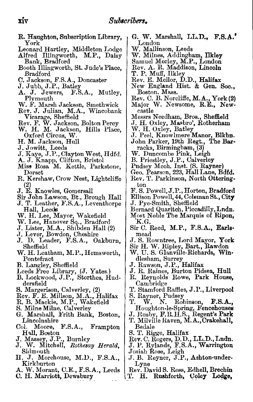- R. Haughton, Subscription Library, York
- Leonard Hartley, Middleton Lodge
- Alfred Illingworth, M.P., Daisy Bank, Bradford
- Booth Illingworth, St. Jude's Place, Bradford
- C. Jackson, F.S.A., Doncaster
- J. Jubb, J.P., Batley
- A. J. Jewers, F.S.A., Mutley, Plymouth
- W. F. Marsh Jackson, Smethwick
- Rev. J. Julian, M.A., Wincoban k Vicarage, Sheffield
- 
- Rev. F. W. Jackson, Bolton Percy W. H. M. Jackson, Hills Place , Oxford Circus, W. H. M. Jackson, Hul l
- 
- J. Jowitt, Leeds
- J. Kaye, J.P., Clayton West, Hdfd .
- A. J. Knapp. Clifton, Bristol
- Miss Rosa M. Kettle, Parkstone. Dorset
- R. Kershaw, Crow Nest, Lightcliffe (2)
- J. E. Knowles, Gomersall
- Sir John Lawson, Bt., Brough Hall
- J. T. Leather, F.S.A., Leventhorpe Hall, Leeds
- W. H. Lee, Mayor, Wakefield
- W. Lee, Hanover Sq., Bradford
- J. Lister, M.A., Shibden Hall (2)
- J. Lever, Bowdon, Cheshire
- J. D. Leader, F.S.A., Oakburn, **Sheffield**
- W. H. Leatham, M.P., Hemsworth, Pontefract
- 
- 
- B. Langley, Sheffield<br>Leeds Free Library, (J. Yates.)<br>B. Lockwood, J.P., Storthes, Hud dersfield
- S. Margerison, Calverley, (2)
- Rev. F. E. Millson, M.A., Halifax
- R. B. Mackie, M.P., Wakefield
- S. Milne Milne, Calverley
- G. Marshall, Frith Bank, Boston, Lincolnshire
- Col. Moore, F.S.A., Frampton Hall, Boston
- J. Massey, J.P., Burnley
- J. W. Mitchell, *Rothesay Herald ,*  ${\bf S}$ idmouth
- H. J. Morehouse, M.D., F.S.A. , Kirkburton
- A. W. Morant, C.E., F.S.A., Leeds
- C. H. Marriott, Dewsbury
- G. W. Marshall, LL.D., **F.S.A.**' London
- W. Mallinson, Leeds
- W. Milnes, Addingham, Ilkley
- Samuel Morley, M.P., London
- Rev. A. R. Maddison, Lincoln
- T. P. Muff, Ilkley
- 
- Rev. E. Mellor, D.D., Halifax<br>New England Hist. & Gen. Soc., Boston. Mass.
- 
- Rev . C. B. Norcliffe, M.A., York (2 ) Major W. Newsome, R.E., New-
- Messrs Needham, Bros., Sheffield
- J. H. Oxley, Masbro', Rotherham
- W. H. Oxley, Batley
- J. Peel, Knowlmere Manor, Blkbn.
- John Parker, 19th Regt., The Barracks, Birmingham, (3) W. Duncombe Pink, Leigh
- 
- 
- 
- B. Priestley, J.P., Calverley<br>Pudsey Mech. Inst. (S. Rayner)<br>Geo. Pearson, 223, Hall Lane, Bdfd.
- Rev. T. Parkinson, North Ottering-<br>ton
- F. S. Powell, J.P., Horton, Bradford
- Ellison Powell, 44, Coleman St., City
- J. Pye-Smith, Sheffield
- Bernard Quaritch, Piccadilly, Lndn.<br>Most Noble The Marquis of Ripon,
- $\mathbf{K}.\mathbf{G}.$
- Sir C. Reed, M.P., F.S.A., Earlsmead
- J. S. Rowntree, Lord Mayor, York
- 
- Sir H. W. Ripley, Bart., Rawdon W. U. S. Glanville-Richards, Windlesham, Surrey
- J. Rawson, J.P., Halifax
- J. R. Raines, Burton Pidsea, Hull
- R. Reynolds Rowe, Park House, Cambridge
- T. Stamford Raffles, J.P., Liverpool
- 
- S. Rayner, Pudsey<br>T. W. N. Robinson, S. Kayner, Fudsey<br>T. W. N. Robinson, F.S.A.,<br>\_Houghton-le-Spring, Fencehouses
- J. Rushy, F.R.H.S., Regent's Park
- T. Milville Raven, M.A., Crakehall, **Bedale**
- S. T. Rigge, Halifax
- Rev. C. Rogers, D.D., LL.D., Lndn.
- J. P. Rylands, F.S.A., Warrington
- Josiah Rose, Leigh
- J. B. Reyner, J.P., Ashton-under-Lyne
- Rev. David S. Ross, Edhell, Brechin
- T. II. **Rushforth, Coley Lodge,**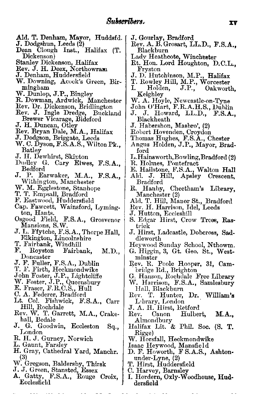- Ald. T. Denham, Mayor, Huddsfd.
- J. Dodgshun, Leeds (2)
- Dean Clough Inst., Halifax (T. Dickenson )
- Stanley Dickenson, Halifax
- **Rev. J. H. Deex, Northowra <sup>m</sup>**
- **J . Denham, Huddersfield**
- W. Downing, Acock's Green, Birmingham
- W. Dunlop, J.P., Bingley
- R. Dowman, Ardwick, Manchester
- Rev. Dr. Dickenson, Bridlington
- Rev. J. Ingle Dredge, Buckland Brewer Vicarage, Bidefor d
- J. H. Duncan, Otley
- Rev. Bryan Dale, M.A., Halifax
- J. Dodgson, Briggate, Leeds
- W. C. Dyson, F.S.A.S., Wilton Pk., Batley
- J. H. Dewhirst, Skipton
- Dudley G. Cary Elwes, F.S.A. ,  $_{\rm Bedford}$
- J. P. Earwaker, M.A., F.S.A., Withington, Manchester
- W. M. Egglestone, Stanhope T. T. Empsall, Bradford
- 
- F. Eastwood, Huddersfield
- Cap. Fawcett, Wainsford, Lyming-<br>ton, Hants.
- . Lymington, Hants Osgood Field, F.S.A., Grosvenor Osgood Field, F. Mansions, S.W.
- J. L. Ffytche, F.S.A., Thorpe Hall, Elkington, Lincolnshire T. Fairbank, Windhill
- 
- F. Royston Fairbank, M.D. , Doncaster
- J. F. Fuller, F.S.A., Dublin
- T. F. Firth, Heckmondwike
- John Foster, J.P., Lightcliffe
- W. Foster, J.P., Queensbury<br>E. Fraser, F.R.C.S., Hull
- 
- C. A. Federer, Bradford
- Lt. Col. Fishwick, F.S.A., Carr Hill, Rochdale
- Rev. W. T. Garrett, M.A., Crakehall, Bedale
- J. G. Goodwin, Eccleston Sq., **London**
- R. H. J. Gurney, Norwich
- L. Gaunt, Farsley
- H. Gray, Cathedral Yard, Manchr. (3)
- W. Gregson, Baldersby, Thirsk<br>J. J. Green, Stansted, Essex
- 
- **A. Gatty, F.S.A., Rouge Croix, Ecclesfield**
- J. Gourlay, Bradford
- Rev. A. B. Grosart, LL.D., F.S.A. , Blackburn
- Lady Heathcote, Winchester
- Rt. Hon. Lord Houghton, D.C.L. , Fryston
- J. D. Hutchinson, M.P., Halifax
- 
- T. Rowley Hill, M.P., Worcester<br>I. Holden, J.P., Oakworth, Keighley
- W. A. Hoyle, Newcastle-on-Tyne<br>John O'Hart, F.R.A.H.S., Dublin
- 
- J. J. Howard, LL.D., F.S.A. , Blackheath
- J. Habershon, Masbro', (2)
- Robert Hovenden, Croydon
- Thomas Hughes, F.S.A., Chester
- Angus Holden, J.P., Mayor, Bradford
- L.Hainsworth, Bowling, Bradford (2)
- 
- R. Holmes, Pontefract E. Hailstone, F .S.A., Walton Hall
- Ald. J. Hill, Apsley Crescent,
- Bradford<br>R. Hanbv. Hanby, Cheetham's Library, Manchester (2)
- Ald. T. Hill, Manor St., Bradford
- Rev. H. Harrison, Idel, Leeds
- J. Hutton, Eccleshill
- S. Edgar Hirst, Crow Trees, Rastrick
- J. Hirst, Ladcastle, Dobcross, Saddleworth
- Heywood Sunday School, Nthowm.
- G. Higgin, 3, Gt. Geo. St., West-<br>minster
- Rev. R. Poole Hooper, 31, Cambridge Rd., Brighton
- G. Hanson, Rochdale Free Library
- W. Harrison, F.S.A., Samlesbury Hall, Blackburn
- Rev. T. Hunter, Dr. William's Library, London
- J. A. H. Hirst, Retford<br>Rev. Canon Hulber
- Hulbert, M.A., Almondbury
- Halifax Lit. & Phil. Soc . (S. T. Rigge )
- W. Horsfall, Heckmondwike
- 
- Isaac Heywood, Mansfiel d D. F. Howorth, F S.A.S., Ashtonunder-Lyne, (2)
- T. Hirst, Huddersfield<br>C. Harvey, Barnsley
- 
- I. Hordern, Oxly-Woodhouse, Huddersfield